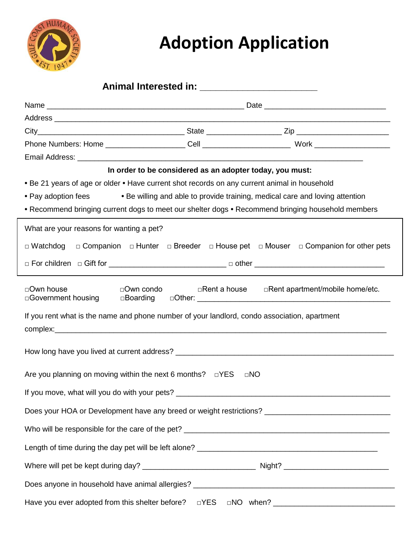

## **Adoption Application**

|                                                                                                                                                                                                                                                                                                                                                                     | In order to be considered as an adopter today, you must: |                                                                                                                                                                                   |  |  |  |
|---------------------------------------------------------------------------------------------------------------------------------------------------------------------------------------------------------------------------------------------------------------------------------------------------------------------------------------------------------------------|----------------------------------------------------------|-----------------------------------------------------------------------------------------------------------------------------------------------------------------------------------|--|--|--|
| • Be 21 years of age or older • Have current shot records on any current animal in household<br>• Pay adoption fees                                                                                                                                                                                                                                                 |                                                          | • Be willing and able to provide training, medical care and loving attention<br>• Recommend bringing current dogs to meet our shelter dogs • Recommend bringing household members |  |  |  |
| What are your reasons for wanting a pet?                                                                                                                                                                                                                                                                                                                            |                                                          |                                                                                                                                                                                   |  |  |  |
| $\Box$ Watchdog                                                                                                                                                                                                                                                                                                                                                     |                                                          | $\Box$ Companion $\Box$ Hunter $\Box$ Breeder $\Box$ House pet $\Box$ Mouser $\Box$ Companion for other pets                                                                      |  |  |  |
|                                                                                                                                                                                                                                                                                                                                                                     |                                                          |                                                                                                                                                                                   |  |  |  |
| □Own house<br>□Government housing<br>If you rent what is the name and phone number of your landlord, condo association, apartment<br>complex: example and the state of the state of the state of the state of the state of the state of the state of the state of the state of the state of the state of the state of the state of the state of the state of the st | $\Box$ Own condo<br>□Rent a house                        | □Rent apartment/mobile home/etc.                                                                                                                                                  |  |  |  |
|                                                                                                                                                                                                                                                                                                                                                                     |                                                          |                                                                                                                                                                                   |  |  |  |
| Are you planning on moving within the next 6 months? $\square$ YES                                                                                                                                                                                                                                                                                                  |                                                          | $\Box$ NO                                                                                                                                                                         |  |  |  |
|                                                                                                                                                                                                                                                                                                                                                                     |                                                          |                                                                                                                                                                                   |  |  |  |
|                                                                                                                                                                                                                                                                                                                                                                     |                                                          | Does your HOA or Development have any breed or weight restrictions? ________________________________                                                                              |  |  |  |
|                                                                                                                                                                                                                                                                                                                                                                     |                                                          |                                                                                                                                                                                   |  |  |  |
|                                                                                                                                                                                                                                                                                                                                                                     |                                                          |                                                                                                                                                                                   |  |  |  |
|                                                                                                                                                                                                                                                                                                                                                                     |                                                          |                                                                                                                                                                                   |  |  |  |
|                                                                                                                                                                                                                                                                                                                                                                     |                                                          |                                                                                                                                                                                   |  |  |  |
|                                                                                                                                                                                                                                                                                                                                                                     |                                                          |                                                                                                                                                                                   |  |  |  |